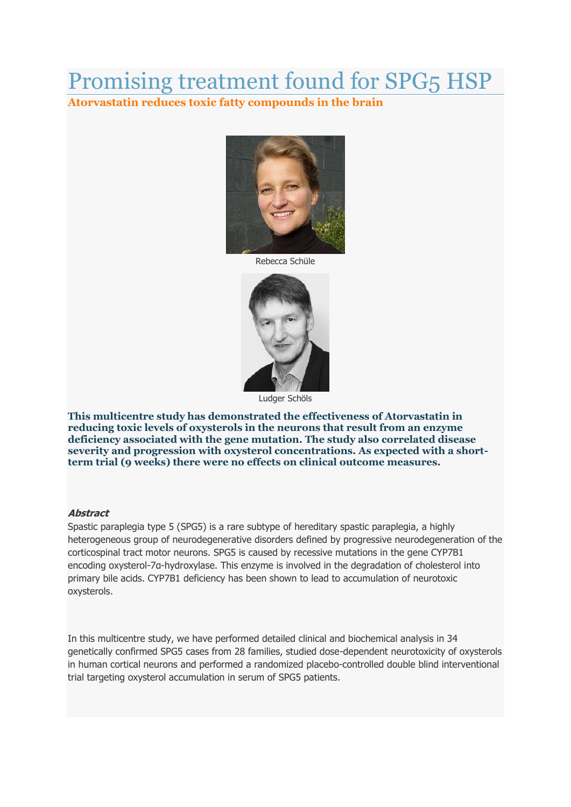## Promising treatment found for SPG5 HSP

**Atorvastatin reduces toxic fatty compounds in the brain**



Rebecca Schüle



Ludger Schöls

**This multicentre study has demonstrated the effectiveness of Atorvastatin in reducing toxic levels of oxysterols in the neurons that result from an enzyme deficiency associated with the gene mutation. The study also correlated disease severity and progression with oxysterol concentrations. As expected with a shortterm trial (9 weeks) there were no effects on clinical outcome measures.**

## **Abstract**

Spastic paraplegia type 5 (SPG5) is a rare subtype of hereditary spastic paraplegia, a highly heterogeneous group of neurodegenerative disorders defined by progressive neurodegeneration of the corticospinal tract motor neurons. SPG5 is caused by recessive mutations in the gene CYP7B1 encoding oxysterol-7α-hydroxylase. This enzyme is involved in the degradation of cholesterol into primary bile acids. CYP7B1 deficiency has been shown to lead to accumulation of neurotoxic oxysterols.

In this multicentre study, we have performed detailed clinical and biochemical analysis in 34 genetically confirmed SPG5 cases from 28 families, studied dose-dependent neurotoxicity of oxysterols in human cortical neurons and performed a randomized placebo-controlled double blind interventional trial targeting oxysterol accumulation in serum of SPG5 patients.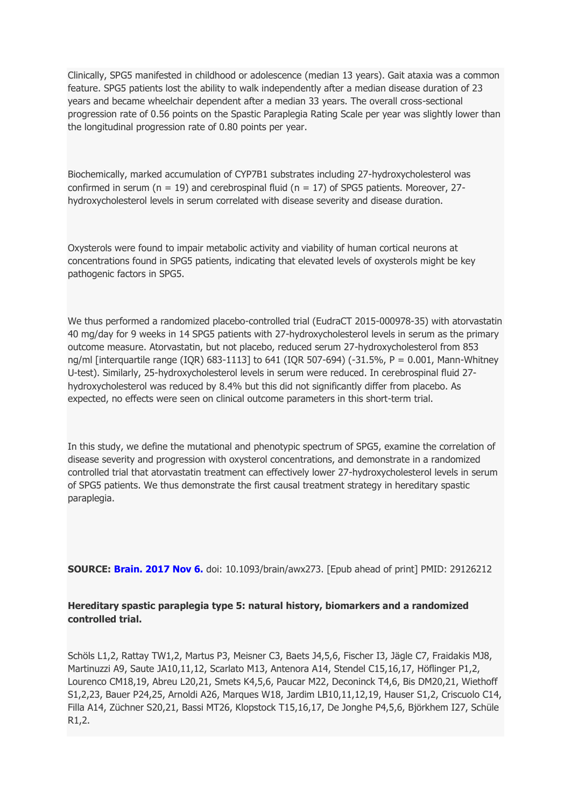Clinically, SPG5 manifested in childhood or adolescence (median 13 years). Gait ataxia was a common feature. SPG5 patients lost the ability to walk independently after a median disease duration of 23 years and became wheelchair dependent after a median 33 years. The overall cross-sectional progression rate of 0.56 points on the Spastic Paraplegia Rating Scale per year was slightly lower than the longitudinal progression rate of 0.80 points per year.

Biochemically, marked accumulation of CYP7B1 substrates including 27-hydroxycholesterol was confirmed in serum ( $n = 19$ ) and cerebrospinal fluid ( $n = 17$ ) of SPG5 patients. Moreover, 27hydroxycholesterol levels in serum correlated with disease severity and disease duration.

Oxysterols were found to impair metabolic activity and viability of human cortical neurons at concentrations found in SPG5 patients, indicating that elevated levels of oxysterols might be key pathogenic factors in SPG5.

We thus performed a randomized placebo-controlled trial (EudraCT 2015-000978-35) with atorvastatin 40 mg/day for 9 weeks in 14 SPG5 patients with 27-hydroxycholesterol levels in serum as the primary outcome measure. Atorvastatin, but not placebo, reduced serum 27-hydroxycholesterol from 853 ng/ml [interquartile range (IQR) 683-1113] to 641 (IQR 507-694) (-31.5%, P = 0.001, Mann-Whitney U-test). Similarly, 25-hydroxycholesterol levels in serum were reduced. In cerebrospinal fluid 27 hydroxycholesterol was reduced by 8.4% but this did not significantly differ from placebo. As expected, no effects were seen on clinical outcome parameters in this short-term trial.

In this study, we define the mutational and phenotypic spectrum of SPG5, examine the correlation of disease severity and progression with oxysterol concentrations, and demonstrate in a randomized controlled trial that atorvastatin treatment can effectively lower 27-hydroxycholesterol levels in serum of SPG5 patients. We thus demonstrate the first causal treatment strategy in hereditary spastic paraplegia.

**SOURCE: Brain. 2017 Nov 6.** doi: 10.1093/brain/awx273. [Epub ahead of print] PMID: 29126212

## **Hereditary spastic paraplegia type 5: natural history, biomarkers and a randomized controlled trial.**

Schöls L1,2, Rattay TW1,2, Martus P3, Meisner C3, Baets J4,5,6, Fischer I3, Jägle C7, Fraidakis MJ8, Martinuzzi A9, Saute JA10,11,12, Scarlato M13, Antenora A14, Stendel C15,16,17, Höflinger P1,2, Lourenco CM18,19, Abreu L20,21, Smets K4,5,6, Paucar M22, Deconinck T4,6, Bis DM20,21, Wiethoff S1,2,23, Bauer P24,25, Arnoldi A26, Marques W18, Jardim LB10,11,12,19, Hauser S1,2, Criscuolo C14, Filla A14, Züchner S20,21, Bassi MT26, Klopstock T15,16,17, De Jonghe P4,5,6, Björkhem I27, Schüle R1,2.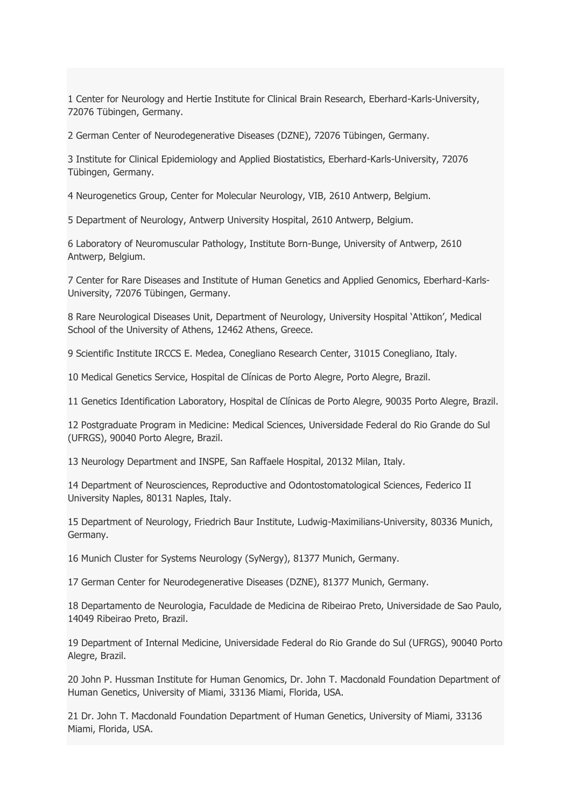1 Center for Neurology and Hertie Institute for Clinical Brain Research, Eberhard-Karls-University, 72076 Tübingen, Germany.

2 German Center of Neurodegenerative Diseases (DZNE), 72076 Tübingen, Germany.

3 Institute for Clinical Epidemiology and Applied Biostatistics, Eberhard-Karls-University, 72076 Tübingen, Germany.

4 Neurogenetics Group, Center for Molecular Neurology, VIB, 2610 Antwerp, Belgium.

5 Department of Neurology, Antwerp University Hospital, 2610 Antwerp, Belgium.

6 Laboratory of Neuromuscular Pathology, Institute Born-Bunge, University of Antwerp, 2610 Antwerp, Belgium.

7 Center for Rare Diseases and Institute of Human Genetics and Applied Genomics, Eberhard-Karls-University, 72076 Tübingen, Germany.

8 Rare Neurological Diseases Unit, Department of Neurology, University Hospital 'Attikon', Medical School of the University of Athens, 12462 Athens, Greece.

9 Scientific Institute IRCCS E. Medea, Conegliano Research Center, 31015 Conegliano, Italy.

10 Medical Genetics Service, Hospital de Clínicas de Porto Alegre, Porto Alegre, Brazil.

11 Genetics Identification Laboratory, Hospital de Clínicas de Porto Alegre, 90035 Porto Alegre, Brazil.

12 Postgraduate Program in Medicine: Medical Sciences, Universidade Federal do Rio Grande do Sul (UFRGS), 90040 Porto Alegre, Brazil.

13 Neurology Department and INSPE, San Raffaele Hospital, 20132 Milan, Italy.

14 Department of Neurosciences, Reproductive and Odontostomatological Sciences, Federico II University Naples, 80131 Naples, Italy.

15 Department of Neurology, Friedrich Baur Institute, Ludwig-Maximilians-University, 80336 Munich, Germany.

16 Munich Cluster for Systems Neurology (SyNergy), 81377 Munich, Germany.

17 German Center for Neurodegenerative Diseases (DZNE), 81377 Munich, Germany.

18 Departamento de Neurologia, Faculdade de Medicina de Ribeirao Preto, Universidade de Sao Paulo, 14049 Ribeirao Preto, Brazil.

19 Department of Internal Medicine, Universidade Federal do Rio Grande do Sul (UFRGS), 90040 Porto Alegre, Brazil.

20 John P. Hussman Institute for Human Genomics, Dr. John T. Macdonald Foundation Department of Human Genetics, University of Miami, 33136 Miami, Florida, USA.

21 Dr. John T. Macdonald Foundation Department of Human Genetics, University of Miami, 33136 Miami, Florida, USA.